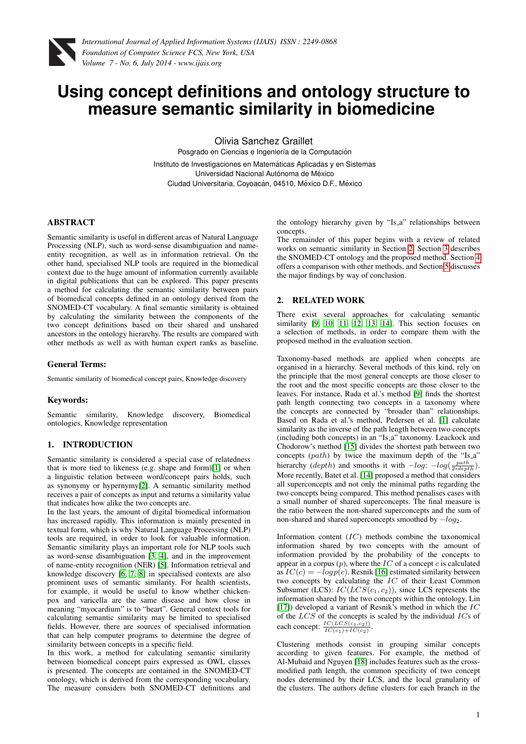

# **Using concept definitions and ontology structure to measure semantic similarity in biomedicine**

Olivia Sanchez Graillet Posgrado en Ciencias e Ingeniería de la Computación

Instituto de Investigaciones en Matemáticas Aplicadas y en Sistemas Universidad Nacional Autónoma de México Ciudad Universitaria, Coyoacán, 04510, México D.F., México

## ABSTRACT

Semantic similarity is useful in different areas of Natural Language Processing (NLP), such as word-sense disambiguation and nameentity recognition, as well as in information retrieval. On the other hand, specialised NLP tools are required in the biomedical context due to the huge amount of information currently available in digital publications that can be explored. This paper presents a method for calculating the semantic similarity between pairs of biomedical concepts defined in an ontology derived from the SNOMED-CT vocabulary. A final semantic similarity is obtained by calculating the similarity between the components of the two concept definitions based on their shared and unshared ancestors in the ontology hierarchy. The results are compared with other methods as well as with human expert ranks as baseline.

#### General Terms:

Semantic similarity of biomedical concept pairs, Knowledge discovery

## Keywords:

Semantic similarity, Knowledge discovery, Biomedical ontologies, Knowledge representation

# 1. INTRODUCTION

Semantic similarity is considered a special case of relatedness that is more tied to likeness (e.g. shape and form)[\[1\]](#page-3-0) or when a linguistic relation between word/concept pairs holds, such as synonymy or hypernymy[\[2\]](#page-3-1). A semantic similarity method receives a pair of concepts as input and returns a similarity value that indicates how alike the two concepts are.

In the last years, the amount of digital biomedical information has increased rapidly. This information is mainly presented in textual form, which is why Natural Language Processing (NLP) tools are required, in order to look for valuable information. Semantic similarity plays an important role for NLP tools such as word-sense disambiguation [\[3,](#page-3-2) [4\]](#page-3-3), and in the improvement of name-entity recognition (NER) [\[5\]](#page-3-4). Information retrieval and knowledge discovery [\[6,](#page-3-5) [7,](#page-3-6) [8\]](#page-3-7) in specialised contexts are also prominent uses of semantic similarity. For health scientists, for example, it would be useful to know whether chickenpox and varicella are the same disease and how close in meaning "myocardium" is to "heart". General context tools for calculating semantic similarity may be limited to specialised fields. However, there are sources of specialised information that can help computer programs to determine the degree of similarity between concepts in a specific field.

In this work, a method for calculating semantic similarity between biomedical concept pairs expressed as OWL classes is presented. The concepts are contained in the SNOMED-CT ontology, which is derived from the corresponding vocabulary. The measure considers both SNOMED-CT definitions and the ontology hierarchy given by "Is<sub>-a</sub>" relationships between concepts.

The remainder of this paper begins with a review of related works on semantic similarity in Section [2.](#page-0-0) Section [3](#page-1-0) describes the SNOMED-CT ontology and the proposed method. Section [4](#page-2-0) offers a comparison with other methods, and Section [5](#page-2-1) discusses the major findings by way of conclusion.

## <span id="page-0-0"></span>2. RELATED WORK

There exist several approaches for calculating semantic similarity [\[9,](#page-3-8) [10,](#page-3-9) [11,](#page-4-0) [12,](#page-4-1) [13,](#page-4-2) [14\]](#page-4-3). This section focuses on a selection of methods, in order to compare them with the proposed method in the evaluation section.

Taxonomy-based methods are applied when concepts are organised in a hierarchy. Several methods of this kind, rely on the principle that the most general concepts are those closer to the root and the most specific concepts are those closer to the leaves. For instance, Rada et al.'s method [\[9\]](#page-3-8) finds the shortest path length connecting two concepts in a taxonomy where the concepts are connected by "broader than" relationships. Based on Rada et al.'s method, Pedersen et al. [\[1\]](#page-3-0) calculate similarity as the inverse of the path length between two concepts (including both concepts) in an "Is a" taxonomy. Leackock and Chodorow's method [\[15\]](#page-4-4) divides the shortest path between two concepts (path) by twice the maximum depth of the "Is\_a" hierarchy (depth) and smooths it with  $-log: -log(\frac{path}{2 * depth})$ . More recently, Batet et al. [\[14\]](#page-4-3) proposed a method that considers all superconcepts and not only the minimal paths regarding the two concepts being compared. This method penalises cases with a small number of shared superconcepts. The final measure is the ratio between the non-shared superconcepts and the sum of non-shared and shared superconcepts smoothed by  $-log_2$ .

Information content  $(IC)$  methods combine the taxonomical information shared by two concepts with the amount of information provided by the probability of the concepts to appear in a corpus  $(p)$ , where the  $IC$  of a concept  $c$  is calculated as  $IC(c) = -log p(c)$ . Resnik [\[16\]](#page-4-5) estimated similarity between two concepts by calculating the IC of their Least Common Subsumer (LCS):  $IC(LCS(c_1, c_2))$ , since LCS represents the information shared by the two concepts within the ontology. Lin [\[17\]](#page-4-6)) developed a variant of Resnik's method in which the  $IC$ of the  $LCS$  of the concepts is scaled by the individual  $ICs$  of each concept:  $\frac{IC(LCS(c_1,c_2))}{IC(c_1)+IC(c_2)}$ .

Clustering methods consist in grouping similar concepts according to given features. For example, the method of Al-Mubaid and Nguyen [\[18\]](#page-4-7) includes features such as the crossmodified path length, the common specificity of two concept nodes determined by their LCS, and the local granularity of the clusters. The authors define clusters for each branch in the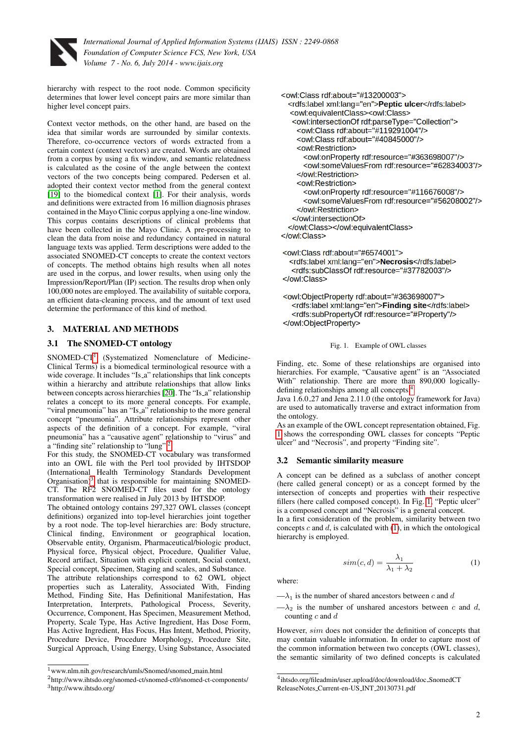

hierarchy with respect to the root node. Common specificity determines that lower level concept pairs are more similar than higher level concept pairs.

Context vector methods, on the other hand, are based on the idea that similar words are surrounded by similar contexts. Therefore, co-occurrence vectors of words extracted from a certain context (context vectors) are created. Words are obtained from a corpus by using a fix window, and semantic relatedness is calculated as the cosine of the angle between the context vectors of the two concepts being compared. Pedersen et al. adopted their context vector method from the general context [\[19\]](#page-4-8) to the biomedical context [\[1\]](#page-3-0). For their analysis, words and definitions were extracted from 16 million diagnosis phrases contained in the Mayo Clinic corpus applying a one-line window. This corpus contains descriptions of clinical problems that have been collected in the Mayo Clinic. A pre-processing to clean the data from noise and redundancy contained in natural language texts was applied. Term descriptions were added to the associated SNOMED-CT concepts to create the context vectors of concepts. The method obtains high results when all notes are used in the corpus, and lower results, when using only the Impression/Report/Plan (IP) section. The results drop when only 100,000 notes are employed. The availability of suitable corpora, an efficient data-cleaning process, and the amount of text used determine the performance of this kind of method.

## <span id="page-1-0"></span>3. MATERIAL AND METHODS

## 3.1 The SNOMED-CT ontology

SNOMED-CT[1](#page-1-1) (Systematized Nomenclature of Medicine-Clinical Terms) is a biomedical terminological resource with a wide coverage. It includes "Is<sub>-a</sub>" relationships that link concepts within a hierarchy and attribute relationships that allow links between concepts across hierarchies [\[20\]](#page-4-9). The "Is\_a" relationship relates a concept to its more general concepts. For example, "viral pneumonia" has an "Is\_a" relationship to the more general concept "pneumonia". Attribute relationships represent other aspects of the definition of a concept. For example, "viral pneumonia" has a "causative agent" relationship to "virus" and a "finding site" relationship to "lung".<sup>[2](#page-1-2)</sup>

For this study, the SNOMED-CT vocabulary was transformed into an OWL file with the Perl tool provided by IHTSDOP (International Health Terminology Standards Development Organisation)<sup>[3](#page-1-3)</sup> that is responsible for maintaining SNOMED-CT. The RF2 SNOMED-CT files used for the ontology transformation were realised in July 2013 by IHTSDOP.

The obtained ontology contains 297,327 OWL classes (concept definitions) organized into top-level hierarchies joint together by a root node. The top-level hierarchies are: Body structure, Clinical finding, Environment or geographical location, Observable entity, Organism, Pharmaceutical/biologic product, Physical force, Physical object, Procedure, Qualifier Value, Record artifact, Situation with explicit content, Social context, Special concept, Specimen, Staging and scales, and Substance. The attribute relationships correspond to 62 OWL object properties such as Laterality, Associated With, Finding Method, Finding Site, Has Definitional Manifestation, Has Interpretation, Interprets, Pathological Process, Severity, Occurrence, Component, Has Specimen, Measurement Method, Property, Scale Type, Has Active Ingredient, Has Dose Form, Has Active Ingredient, Has Focus, Has Intent, Method, Priority, Procedure Device, Procedure Morphology, Procedure Site, Surgical Approach, Using Energy, Using Substance, Associated

```
<owl:Class rdf:about="#13200003">
  <rdfs:label xml:lang="en">Peptic ulcer</rdfs:label>
  <owl:equivalentClass><owl:Class>
   <owl:intersectionOf rdf:parseType="Collection">
    <owl:Class rdf:about="#119291004"/>
    <owl:Class rdf:about="#40845000"/>
    <owl:Restriction>
      <owl:onProperty rdf:resource="#363698007"/>
      <owl:someValuesFrom rdf:resource="#62834003"/>
    </owl:Restriction>
    <owl:Restriction>
      <owl:onProperty rdf:resource="#116676008"/>
      <owl:someValuesFrom rdf:resource="#56208002"/>
    </owl:Restriction>
   </owl:intersectionOf>
  </owl:Class></owl:equivalentClass>
</owl:Class>
<owl:Class rdf:about="#6574001">
  <rdfs:label xml:lang="en">Necrosis</rdfs:label>
  <rdfs:subClassOf rdf:resource="#37782003"/>
```
</owl:Class>

```
<owl:ObjectProperty rdf:about="#363698007">
  <rdfs:label xml:lang="en">Finding site</rdfs:label>
  <rdfs:subPropertyOf rdf:resource="#Property"/>
</owl:ObjectProperty>
```
#### <span id="page-1-5"></span>Fig. 1. Example of OWL classes

Finding, etc. Some of these relationships are organised into hierarchies. For example, "Causative agent" is an "Associated With" relationship. There are more than 890,000 logicallydefining relationships among all concepts.[4](#page-1-4)

Java 1.6.0 27 and Jena 2.11.0 (the ontology framework for Java) are used to automatically traverse and extract information from the ontology.

As an example of the OWL concept representation obtained, Fig. [1](#page-1-5) shows the corresponding OWL classes for concepts "Peptic ulcer" and "Necrosis", and property "Finding site".

## 3.2 Semantic similarity measure

A concept can be defined as a subclass of another concept (here called general concept) or as a concept formed by the intersection of concepts and properties with their respective fillers (here called composed concept). In Fig. [1,](#page-1-5) "Peptic ulcer" is a composed concept and "Necrosis" is a general concept.

In a first consideration of the problem, similarity between two concepts  $c$  and  $d$ , is calculated with  $(1)$ , in which the ontological hierarchy is employed.

<span id="page-1-6"></span>
$$
sim(c,d) = \frac{\lambda_1}{\lambda_1 + \lambda_2} \tag{1}
$$

where:

 $-\lambda_1$  is the number of shared ancestors between c and d

 $-\lambda_2$  is the number of unshared ancestors between c and d, counting  $c$  and  $d$ 

However, sim does not consider the definition of concepts that may contain valuable information. In order to capture most of the common information between two concepts (OWL classes), the semantic similarity of two defined concepts is calculated

<span id="page-1-1"></span> $1$ www.nlm.nih.gov/research/umls/Snomed/snomed\_main.html

<span id="page-1-3"></span><span id="page-1-2"></span><sup>2</sup>http://www.ihtsdo.org/snomed-ct/snomed-ct0/snomed-ct-components/ <sup>3</sup>http://www.ihtsdo.org/

<span id="page-1-4"></span><sup>4</sup> ihtsdo.org/fileadmin/user upload/doc/download/doc SnomedCT ReleaseNotes Current-en-US INT 20130731.pdf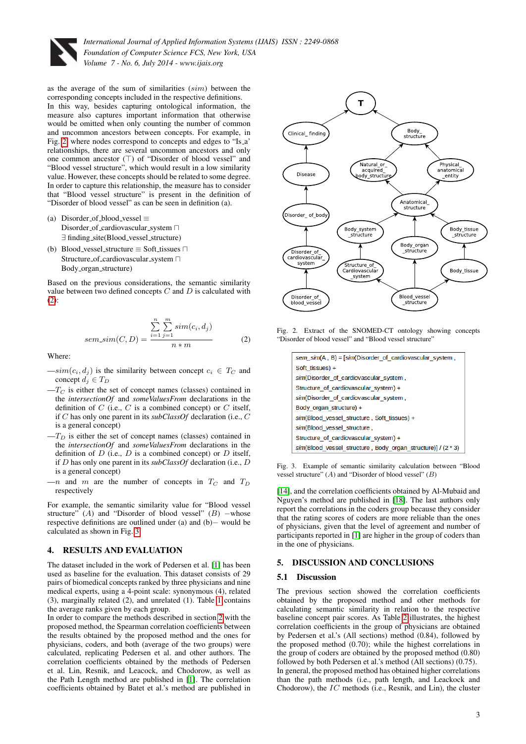

as the average of the sum of similarities (sim) between the corresponding concepts included in the respective definitions.

In this way, besides capturing ontological information, the measure also captures important information that otherwise would be omitted when only counting the number of common and uncommon ancestors between concepts. For example, in Fig. [2,](#page-2-2) where nodes correspond to concepts and edges to "Is a' relationships, there are several uncommon ancestors and only one common ancestor  $(T)$  of "Disorder of blood vessel" and "Blood vessel structure", which would result in a low similarity value. However, these concepts should be related to some degree. In order to capture this relationship, the measure has to consider that "Blood vessel structure" is present in the definition of "Disorder of blood vessel" as can be seen in definition (a).

- (a) Disorder\_of\_blood\_vessel  $\equiv$ Disorder of cardiovascular system  $\Box$ ∃ finding site(Blood vessel structure)
- (b) Blood\_vessel\_structure  $\equiv$  Soft\_tissues  $\sqcap$ Structure\_of\_cardiovascular\_system  $\sqcap$ Body organ structure)

Based on the previous considerations, the semantic similarity value between two defined concepts  $C$  and  $D$  is calculated with  $(2)$ :

<span id="page-2-3"></span>sem<sub>-</sub>sim(C, D) = 
$$
\frac{\sum_{i=1}^{n} \sum_{j=1}^{m} sim(c_i, d_j)}{n * m}
$$
 (2)

Where:

- $-sim(c_i, d_j)$  is the similarity between concept  $c_i \in T_C$  and concept  $d_j \in T_D$
- $-T_C$  is either the set of concept names (classes) contained in the *intersectionOf* and *someValuesFrom* declarations in the definition of  $C$  (i.e.,  $C$  is a combined concept) or  $C$  itself, if C has only one parent in its *subClassOf* declaration (i.e., C is a general concept)
- $-T_D$  is either the set of concept names (classes) contained in the *intersectionOf* and *someValuesFrom* declarations in the definition of  $D$  (i.e.,  $D$  is a combined concept) or  $D$  itself, if D has only one parent in its *subClassOf* declaration (i.e., D is a general concept)
- $-n$  and m are the number of concepts in  $T_C$  and  $T_D$ respectively

For example, the semantic similarity value for "Blood vessel structure" (A) and "Disorder of blood vessel" (B) –whose respective definitions are outlined under (a) and (b)− would be calculated as shown in Fig. [3.](#page-2-4)

#### <span id="page-2-0"></span>4. RESULTS AND EVALUATION

The dataset included in the work of Pedersen et al. [\[1\]](#page-3-0) has been used as baseline for the evaluation. This dataset consists of 29 pairs of biomedical concepts ranked by three physicians and nine medical experts, using a 4-point scale: synonymous (4), related (3), marginally related (2), and unrelated (1). Table [1](#page-3-10) contains the average ranks given by each group.

In order to compare the methods described in section [2](#page-0-0) with the proposed method, the Spearman correlation coefficients between the results obtained by the proposed method and the ones for physicians, coders, and both (average of the two groups) were calculated, replicating Pedersen et al. and other authors. The correlation coefficients obtained by the methods of Pedersen et al. Lin, Resnik, and Leacock, and Chodorow, as well as the Path Length method are published in [\[1\]](#page-3-0). The correlation coefficients obtained by Batet et al.'s method are published in



<span id="page-2-2"></span>Fig. 2. Extract of the SNOMED-CT ontology showing concepts "Disorder of blood vessel" and "Blood vessel structure"

| sem_sim(A, B) = [sim(Disorder of cardiovascular system,      |
|--------------------------------------------------------------|
| Soft tissues) +                                              |
| sim(Disorder of cardiovascular system,                       |
| Structure of cardiovascular system) +                        |
| sim(Disorder of cardiovascular system,                       |
| Body organ structure) +                                      |
| sim(Blood vessel structure, Soft tissues) +                  |
| sim(Blood vessel structure,                                  |
| Structure of cardiovascular system) +                        |
| sim(Blood vessel structure, Body organ structure)] / (2 * 3) |

<span id="page-2-4"></span>Fig. 3. Example of semantic similarity calculation between "Blood vessel structure"  $(A)$  and "Disorder of blood vessel"  $(B)$ 

[\[14\]](#page-4-3), and the correlation coefficients obtained by Al-Mubaid and Nguyen's method are published in [\[18\]](#page-4-7). The last authors only report the correlations in the coders group because they consider that the rating scores of coders are more reliable than the ones of physicians, given that the level of agreement and number of participants reported in [\[1\]](#page-3-0) are higher in the group of coders than in the one of physicians.

#### <span id="page-2-1"></span>5. DISCUSSION AND CONCLUSIONS

#### 5.1 Discussion

The previous section showed the correlation coefficients obtained by the proposed method and other methods for calculating semantic similarity in relation to the respective baseline concept pair scores. As Table [2](#page-3-11) illustrates, the highest correlation coefficients in the group of physicians are obtained by Pedersen et al.'s (All sections) method (0.84), followed by the proposed method (0.70); while the highest correlations in the group of coders are obtained by the proposed method (0.80) followed by both Pedersen et al.'s method (All sections) (0.75). In general, the proposed method has obtained higher correlations than the path methods (i.e., path length, and Leackock and Chodorow), the  $IC$  methods (i.e., Resnik, and Lin), the cluster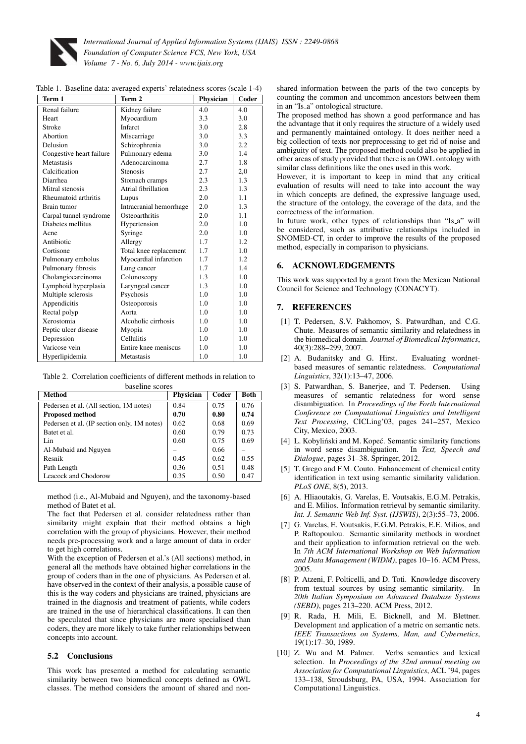

<span id="page-3-10"></span>

|  |  |  |  |  | Table 1. Baseline data: averaged experts' relatedness scores (scale 1-4) |  |  |  |  |
|--|--|--|--|--|--------------------------------------------------------------------------|--|--|--|--|
|--|--|--|--|--|--------------------------------------------------------------------------|--|--|--|--|

| Term 1                   | Term 2                  | Physician | Coder |
|--------------------------|-------------------------|-----------|-------|
| Renal failure            | Kidney failure          | 4.0       | 4.0   |
| Heart                    | Myocardium              | 3.3       | 3.0   |
| Stroke                   | Infarct                 | 3.0       | 2.8   |
| Abortion                 | Miscarriage             | 3.0       | 3.3   |
| Delusion                 | Schizophrenia           | 3.0       | 2.2   |
| Congestive heart failure | Pulmonary edema         | 3.0       | 1.4   |
| Metastasis               | Adenocarcinoma          | 2.7       | 1.8   |
| Calcification            | <b>Stenosis</b>         | 2.7       | 2,0   |
| Diarrhea                 | Stomach cramps          | 2.3       | 1.3   |
| Mitral stenosis          | Atrial fibrillation     | 2.3       | 1.3   |
| Rheumatoid arthritis     | Lupus                   | 2.0       | 1.1   |
| Brain tumor              | Intracranial hemorrhage | 2.0       | 1.3   |
| Carpal tunnel syndrome   | Osteoarthritis          | 2.0       | 1.1   |
| Diabetes mellitus        | Hypertension            | 2.0       | 1.0   |
| Acne                     | Syringe                 | 2.0       | 1.0   |
| Antibiotic               | Allergy                 | 1.7       | 1.2   |
| Cortisone                | Total knee replacement  | 1.7       | 1.0   |
| Pulmonary embolus        | Myocardial infarction   | 1.7       | 1.2   |
| Pulmonary fibrosis       | Lung cancer             | 1.7       | 1.4   |
| Cholangiocarcinoma       | Colonoscopy             | 1.3       | 1.0   |
| Lymphoid hyperplasia     | Laryngeal cancer        | 1.3       | 1.0   |
| Multiple sclerosis       | Psychosis               | 1.0       | 1.0   |
| Appendicitis             | Osteoporosis            | 1.0       | 1.0   |
| Rectal polyp             | Aorta                   | 1.0       | 1.0   |
| Xerostomia               | Alcoholic cirrhosis     | 1.0       | 1.0   |
| Peptic ulcer disease     | Myopia                  | 1.0       | 1.0   |
| Depression               | Cellulitis              | 1.0       | 1.0   |
| Varicose vein            | Entire knee meniscus    | 1.0       | 1.0   |
| Hyperlipidemia           | Metastasis              | 1.0       | 1.0   |
|                          |                         |           |       |

<span id="page-3-11"></span>Table 2. Correlation coefficients of different methods in relation to baseline scores

| Method                                      | Physician | Coder | <b>Both</b> |  |  |  |  |
|---------------------------------------------|-----------|-------|-------------|--|--|--|--|
| Pedersen et al. (All section, 1M notes)     | 0.84      | 0.75  | 0.76        |  |  |  |  |
| <b>Proposed method</b>                      | 0.70      | 0.80  | 0.74        |  |  |  |  |
| Pedersen et al. (IP section only, 1M notes) | 0.62      | 0.68  | 0.69        |  |  |  |  |
| Batet et al.                                | 0.60      | 0.79  | 0.73        |  |  |  |  |
| Lin                                         | 0.60      | 0.75  | 0.69        |  |  |  |  |
| Al-Mubaid and Nguyen                        |           | 0.66  |             |  |  |  |  |
| Resnik                                      | 0.45      | 0.62  | 0.55        |  |  |  |  |
| Path Length                                 | 0.36      | 0.51  | 0.48        |  |  |  |  |
| Leacock and Chodorow                        | 0.35      | 0.50  | 0.47        |  |  |  |  |
|                                             |           |       |             |  |  |  |  |

method (i.e., Al-Mubaid and Nguyen), and the taxonomy-based method of Batet et al.

The fact that Pedersen et al. consider relatedness rather than similarity might explain that their method obtains a high correlation with the group of physicians. However, their method needs pre-processing work and a large amount of data in order to get high correlations.

With the exception of Pedersen et al.'s (All sections) method, in general all the methods have obtained higher correlations in the group of coders than in the one of physicians. As Pedersen et al. have observed in the context of their analysis, a possible cause of this is the way coders and physicians are trained, physicians are trained in the diagnosis and treatment of patients, while coders are trained in the use of hierarchical classifications. It can then be speculated that since physicians are more specialised than coders, they are more likely to take further relationships between concepts into account.

## 5.2 Conclusions

This work has presented a method for calculating semantic similarity between two biomedical concepts defined as OWL classes. The method considers the amount of shared and nonshared information between the parts of the two concepts by counting the common and uncommon ancestors between them in an "Is a" ontological structure.

The proposed method has shown a good performance and has the advantage that it only requires the structure of a widely used and permanently maintained ontology. It does neither need a big collection of texts nor preprocessing to get rid of noise and ambiguity of text. The proposed method could also be applied in other areas of study provided that there is an OWL ontology with similar class definitions like the ones used in this work.

However, it is important to keep in mind that any critical evaluation of results will need to take into account the way in which concepts are defined, the expressive language used, the structure of the ontology, the coverage of the data, and the correctness of the information.

In future work, other types of relationships than "Is<sub>-a</sub>" will be considered, such as attributive relationships included in SNOMED-CT, in order to improve the results of the proposed method, especially in comparison to physicians.

# 6. ACKNOWLEDGEMENTS

This work was supported by a grant from the Mexican National Council for Science and Technology (CONACYT).

# 7. REFERENCES

- <span id="page-3-0"></span>[1] T. Pedersen, S.V. Pakhomov, S. Patwardhan, and C.G. Chute. Measures of semantic similarity and relatedness in the biomedical domain. *Journal of Biomedical Informatics*, 40(3):288–299, 2007.
- <span id="page-3-1"></span>[2] A. Budanitsky and G. Hirst. Evaluating wordnetbased measures of semantic relatedness. *Computational Linguistics*, 32(1):13–47, 2006.
- <span id="page-3-2"></span>[3] S. Patwardhan, S. Banerjee, and T. Pedersen. Using measures of semantic relatedness for word sense disambiguation. In *Proceedings of the Forth International Conference on Computational Linguistics and Intelligent Text Processing*, CICLing'03, pages 241–257, Mexico City, Mexico, 2003.
- <span id="page-3-3"></span>[4] L. Kobyliński and M. Kopeć. Semantic similarity functions in word sense disambiguation. In *Text, Speech and Dialogue*, pages 31–38. Springer, 2012.
- <span id="page-3-4"></span>[5] T. Grego and F.M. Couto. Enhancement of chemical entity identification in text using semantic similarity validation. *PLoS ONE*, 8(5), 2013.
- <span id="page-3-5"></span>[6] A. Hliaoutakis, G. Varelas, E. Voutsakis, E.G.M. Petrakis, and E. Milios. Information retrieval by semantic similarity. *Int. J. Semantic Web Inf. Syst. (IJSWIS)*, 2(3):55–73, 2006.
- <span id="page-3-6"></span>[7] G. Varelas, E. Voutsakis, E.G.M. Petrakis, E.E. Milios, and P. Raftopoulou. Semantic similarity methods in wordnet and their application to information retrieval on the web. In *7th ACM International Workshop on Web Information and Data Management (WIDM)*, pages 10–16. ACM Press, 2005.
- <span id="page-3-7"></span>[8] P. Atzeni, F. Polticelli, and D. Toti. Knowledge discovery from textual sources by using semantic similarity. In *20th Italian Symposium on Advanced Database Systems (SEBD)*, pages 213–220. ACM Press, 2012.
- <span id="page-3-8"></span>[9] R. Rada, H. Mili, E. Bicknell, and M. Blettner. Development and application of a metric on semantic nets. *IEEE Transactions on Systems, Man, and Cybernetics*, 19(1):17–30, 1989.
- <span id="page-3-9"></span>[10] Z. Wu and M. Palmer. Verbs semantics and lexical selection. In *Proceedings of the 32nd annual meeting on Association for Computational Linguistics*, ACL '94, pages 133–138, Stroudsburg, PA, USA, 1994. Association for Computational Linguistics.